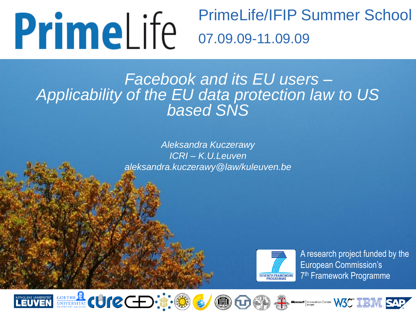# **PrimeLife**

## PrimeLife/IFIP Summer School 07.09.09-11.09.09

#### *Facebook and its EU users – Applicability of the EU data protection law to US based SNS*

*Aleksandra Kuczerawy ICRI – K.U.Leuven aleksandra.kuczerawy@law/kuleuven.be*



A research project funded by the European Commission's 7<sup>th</sup> Framework Programme









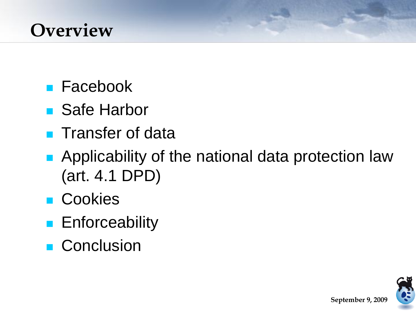### **Overview**

- **Facebook**
- Safe Harbor
- **Transfer of data**
- **Applicability of the national data protection law** (art. 4.1 DPD)
- Cookies
- **Enforceability**
- **Conclusion**

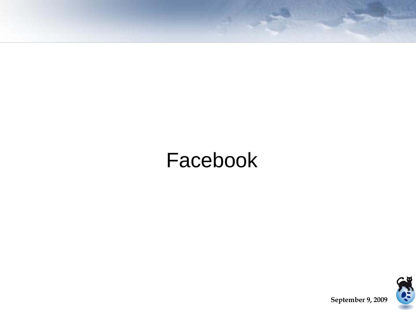# Facebook

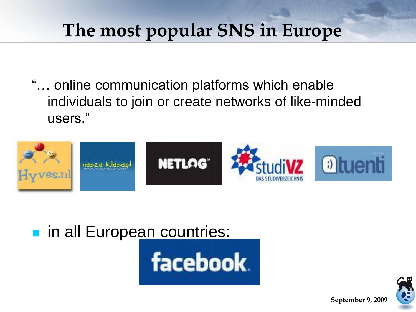### **The most popular SNS in Europe**

"… online communication platforms which enable individuals to join or create networks of like-minded users."



n all Europe[an countries:](http://centralillinoisproud.com/media/jpg/facebook2009-04-21-1240343633.jpg)



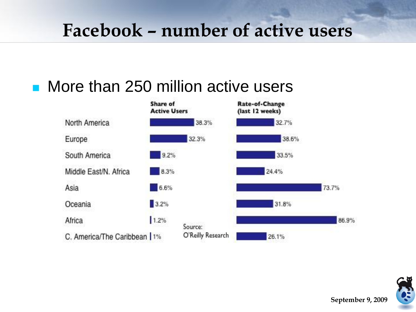### **Facebook – number of active users**

### ■ More than 250 million active users



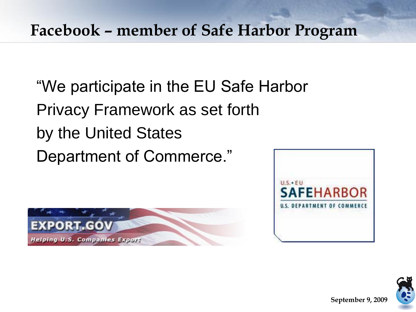#### **Facebook – member of Safe Harbor Program**

"We participate in the EU Safe Harbor Privacy Framework as set forth by the United States Department of Commerce."





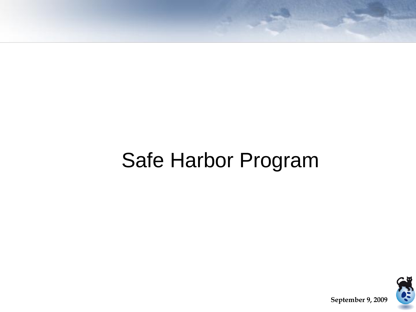# Safe Harbor Program

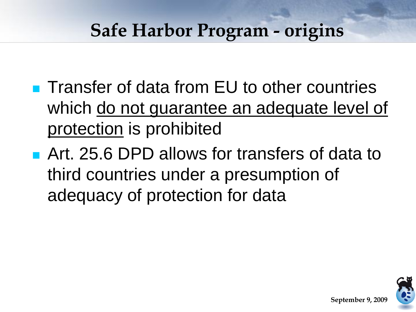### **Safe Harbor Program - origins**

- **Transfer of data from EU to other countries** which do not guarantee an adequate level of protection is prohibited
- **Art. 25.6 DPD allows for transfers of data to** third countries under a presumption of adequacy of protection for data

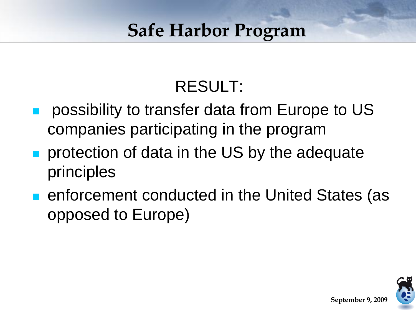### **Safe Harbor Program**

### RESULT:

- possibility to transfer data from Europe to US companies participating in the program
- protection of data in the US by the adequate principles
- **Example 2** enforcement conducted in the United States (as opposed to Europe)

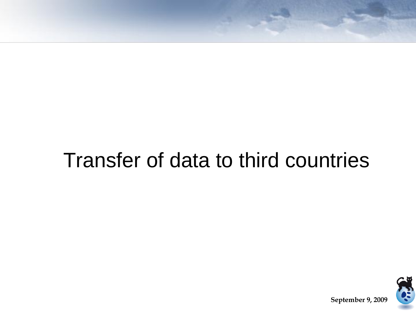# Transfer of data to third countries

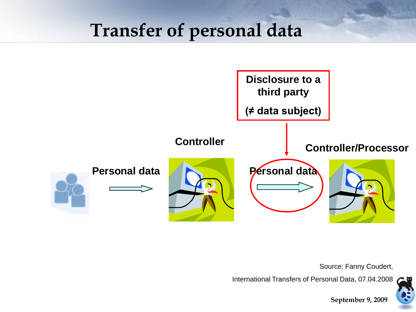### **Transfer of personal data**



Source: Fanny Coudert,

**September 9, 2009**

International Transfers of Personal Data, 07.04.2008

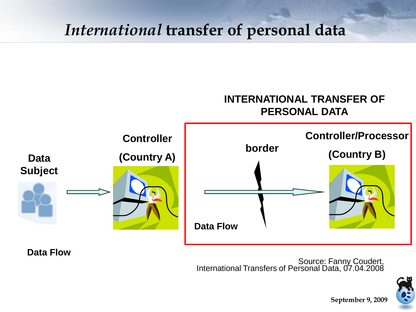#### *International* **transfer of personal data**



**Data Flow**

Source: Fanny Coudert, International Transfers of Personal Data, 07.04.2008

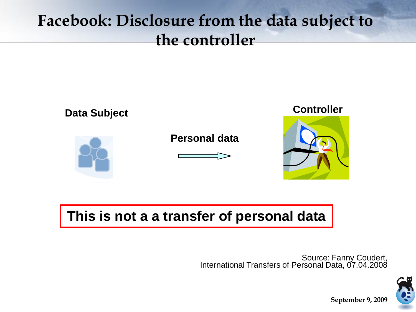#### **Facebook: Disclosure from the data subject to the controller**



#### **This is not a a transfer of personal data**

Source: Fanny Coudert, International Transfers of Personal Data, 07.04.2008

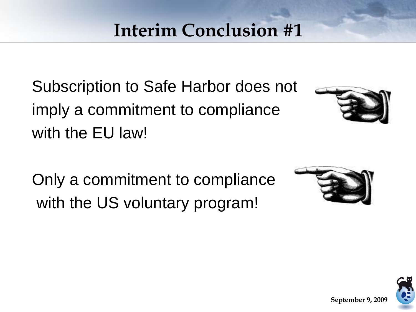# **Interim Conclusion #1**

Subscription to Safe Harbor does not imply a commitment to compliance with the EU law!



**September 9, 200** 

Only a commitment to compliance with the US voluntary program!



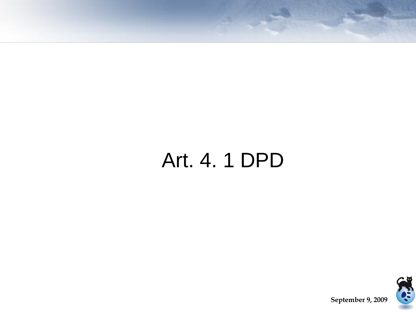# Art. 4. 1 DPD

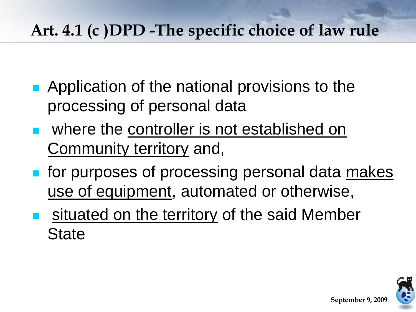### **Art. 4.1 (c )DPD -The specific choice of law rule**

- Application of the national provisions to the processing of personal data
- **Notally 19 September is not established on** Community territory and,
- **for purposes of processing personal data makes** use of equipment, automated or otherwise,
- situated on the territory of the said Member **State**

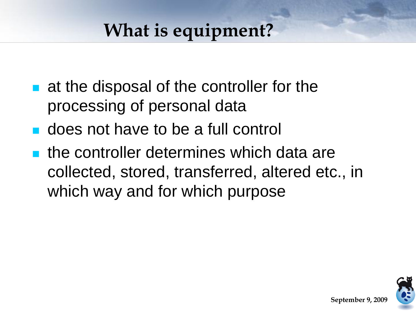# **What is equipment?**

- **at the disposal of the controller for the** processing of personal data
- **does not have to be a full control**
- the controller determines which data are collected, stored, transferred, altered etc., in which way and for which purpose

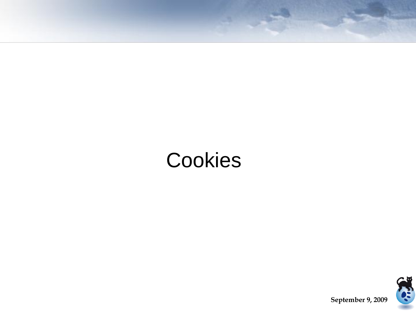# **Cookies**

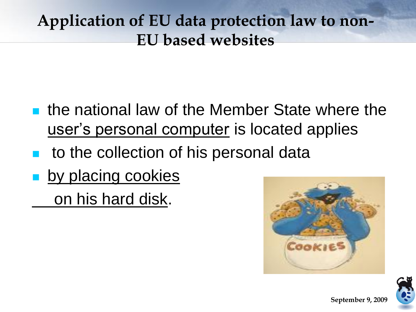#### **Application of EU data protection law to non-EU based websites**

- **the national law of the Member State where the** user's personal computer is located applies
- to the collection of his personal data
- **by placing cookies** on his hard disk.



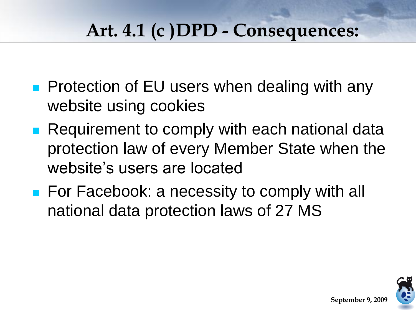# **Art. 4.1 (c )DPD - Consequences:**

- **Protection of EU users when dealing with any** website using cookies
- **Requirement to comply with each national data** protection law of every Member State when the website's users are located
- **For Facebook: a necessity to comply with all** national data protection laws of 27 MS

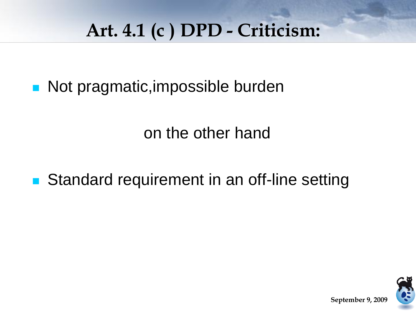# **Art. 4.1 (c ) DPD - Criticism:**

■ Not pragmatic, impossible burden

on the other hand

**Standard requirement in an off-line setting** 

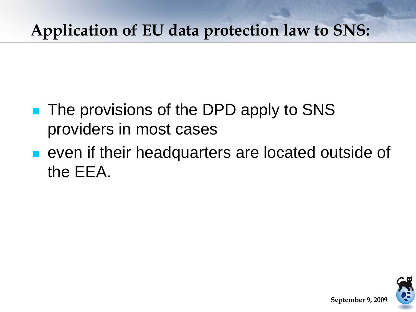### **Application of EU data protection law to SNS:**

- **The provisions of the DPD apply to SNS** providers in most cases
- even if their headquarters are located outside of the EEA.

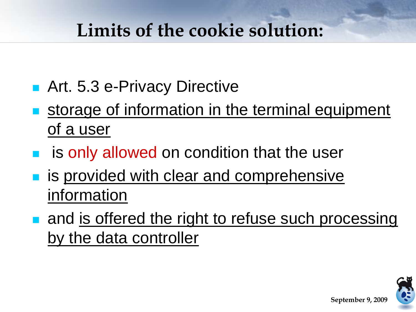### **Limits of the cookie solution:**

- Art. 5.3 e-Privacy Directive
- storage of information in the terminal equipment of a user
- **is only allowed on condition that the user**
- is provided with clear and comprehensive information
- **a** and is offered the right to refuse such processing by the data controller

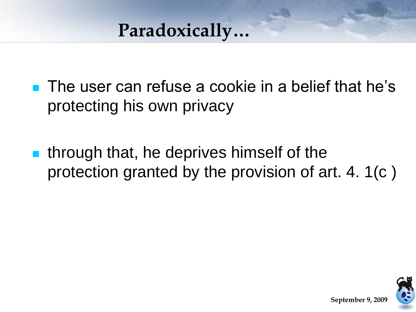### **Paradoxically…**

- **The user can refuse a cookie in a belief that he's** protecting his own privacy
- **If** through that, he deprives himself of the protection granted by the provision of art. 4. 1(c )

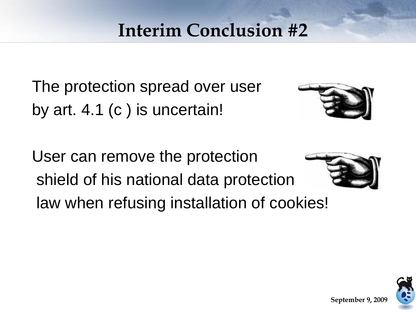### **Interim Conclusion #2**

The protection spread over user by art. 4.1 (c ) is uncertain!



User can remove the protection shield of his national data protection law when refusing installation of cookies!



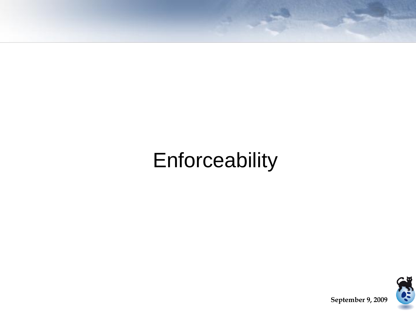# Enforceability

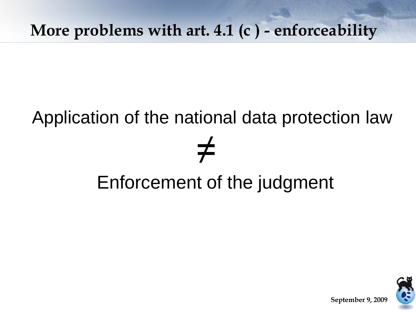#### **More problems with art. 4.1 (c ) - enforceability**

# Application of the national data protection law ≠ Enforcement of the judgment

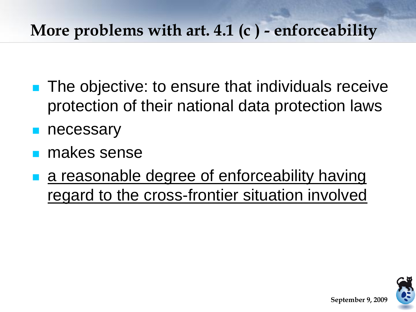#### **More problems with art. 4.1 (c ) - enforceability**

- **The objective: to ensure that individuals receive** protection of their national data protection laws
- necessary
- makes sense
- a reasonable degree of enforceability having regard to the cross-frontier situation involved

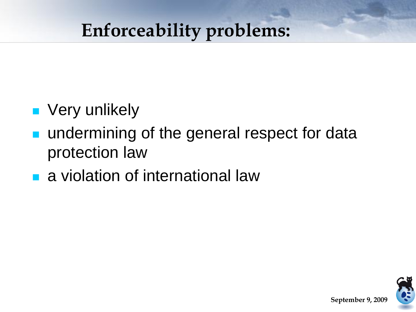### **Enforceability problems:**

- **v** Very unlikely
- **undermining of the general respect for data** protection law
- **a** a violation of international law

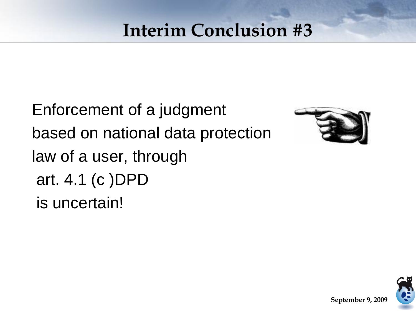### **Interim Conclusion #3**

Enforcement of a judgment based on national data protection law of a user, through art. 4.1 (c )DPD is uncertain!



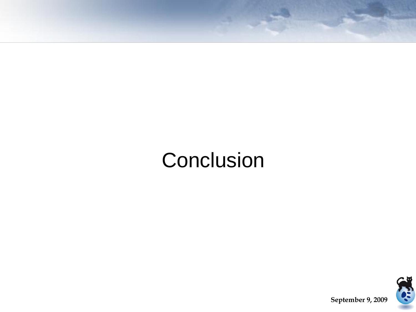# **Conclusion**

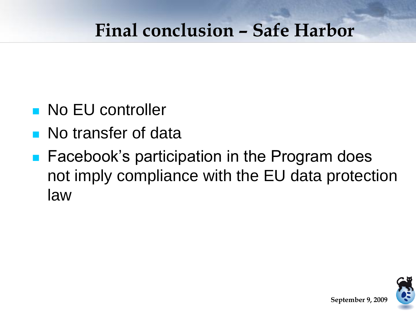### **Final conclusion – Safe Harbor**

- **No EU controller**
- **No transfer of data**
- **Facebook's participation in the Program does** not imply compliance with the EU data protection law

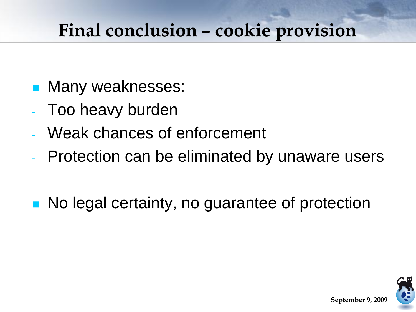### **Final conclusion – cookie provision**

- Many weaknesses:
- Too heavy burden
- Weak chances of enforcement
- Protection can be eliminated by unaware users
- **No legal certainty, no guarantee of protection**